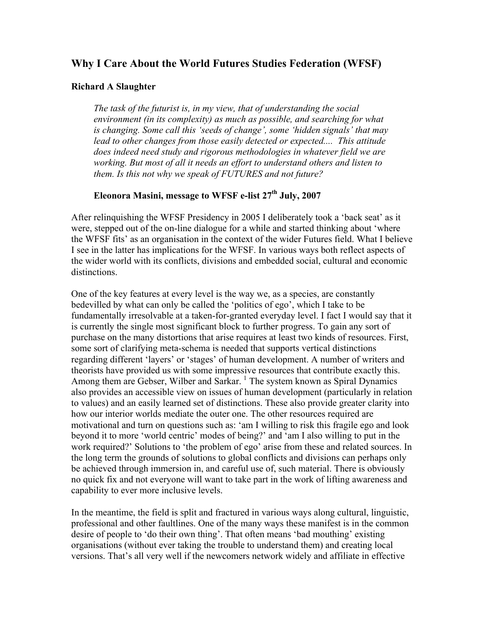## **Why I Care About the World Futures Studies Federation (WFSF)**

### **Richard A Slaughter**

*The task of the futurist is, in my view, that of understanding the social environment (in its complexity) as much as possible, and searching for what is changing. Some call this 'seeds of change', some 'hidden signals' that may lead to other changes from those easily detected or expected.... This attitude does indeed need study and rigorous methodologies in whatever field we are working. But most of all it needs an effort to understand others and listen to them. Is this not why we speak of FUTURES and not future?*

# Eleonora Masini, message to WFSF e-list 27<sup>th</sup> July, 2007

After relinquishing the WFSF Presidency in 2005 I deliberately took a 'back seat' as it were, stepped out of the on-line dialogue for a while and started thinking about 'where the WFSF fits' as an organisation in the context of the wider Futures field. What I believe I see in the latter has implications for the WFSF. In various ways both reflect aspects of the wider world with its conflicts, divisions and embedded social, cultural and economic distinctions.

One of the key features at every level is the way we, as a species, are constantly bedevilled by what can only be called the 'politics of ego', which I take to be fundamentally irresolvable at a taken-for-granted everyday level. I fact I would say that it is currently the single most significant block to further progress. To gain any sort of purchase on the many distortions that arise requires at least two kinds of resources. First, some sort of clarifying meta-schema is needed that supports vertical distinctions regarding different 'layers' or 'stages' of human development. A number of writers and theorists have provided us with some impressive resources that contribute exactly this. Among them are Gebser, Wilber and Sarkar.<sup>1</sup> The system known as Spiral Dynamics also provides an accessible view on issues of human development (particularly in relation to values) and an easily learned set of distinctions. These also provide greater clarity into how our interior worlds mediate the outer one. The other resources required are motivational and turn on questions such as: 'am I willing to risk this fragile ego and look beyond it to more 'world centric' modes of being?' and 'am I also willing to put in the work required?' Solutions to 'the problem of ego' arise from these and related sources. In the long term the grounds of solutions to global conflicts and divisions can perhaps only be achieved through immersion in, and careful use of, such material. There is obviously no quick fix and not everyone will want to take part in the work of lifting awareness and capability to ever more inclusive levels.

In the meantime, the field is split and fractured in various ways along cultural, linguistic, professional and other faultlines. One of the many ways these manifest is in the common desire of people to 'do their own thing'. That often means 'bad mouthing' existing organisations (without ever taking the trouble to understand them) and creating local versions. That's all very well if the newcomers network widely and affiliate in effective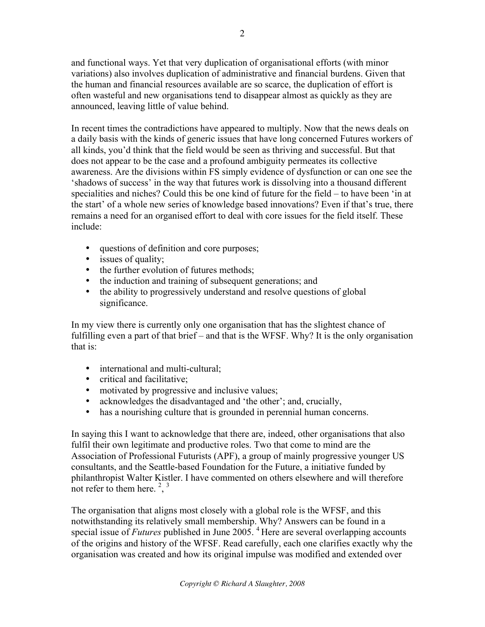and functional ways. Yet that very duplication of organisational efforts (with minor variations) also involves duplication of administrative and financial burdens. Given that the human and financial resources available are so scarce, the duplication of effort is often wasteful and new organisations tend to disappear almost as quickly as they are announced, leaving little of value behind.

In recent times the contradictions have appeared to multiply. Now that the news deals on a daily basis with the kinds of generic issues that have long concerned Futures workers of all kinds, you'd think that the field would be seen as thriving and successful. But that does not appear to be the case and a profound ambiguity permeates its collective awareness. Are the divisions within FS simply evidence of dysfunction or can one see the 'shadows of success' in the way that futures work is dissolving into a thousand different specialities and niches? Could this be one kind of future for the field – to have been 'in at the start' of a whole new series of knowledge based innovations? Even if that's true, there remains a need for an organised effort to deal with core issues for the field itself. These include:

- questions of definition and core purposes;
- issues of quality:
- the further evolution of futures methods;
- the induction and training of subsequent generations; and
- the ability to progressively understand and resolve questions of global significance.

In my view there is currently only one organisation that has the slightest chance of fulfilling even a part of that brief – and that is the WFSF. Why? It is the only organisation that is:

- international and multi-cultural;
- critical and facilitative;
- motivated by progressive and inclusive values;
- acknowledges the disadvantaged and 'the other'; and, crucially,
- has a nourishing culture that is grounded in perennial human concerns.

In saying this I want to acknowledge that there are, indeed, other organisations that also fulfil their own legitimate and productive roles. Two that come to mind are the Association of Professional Futurists (APF), a group of mainly progressive younger US consultants, and the Seattle-based Foundation for the Future, a initiative funded by philanthropist Walter Kistler. I have commented on others elsewhere and will therefore not refer to them here.<sup>2</sup>,  $\frac{3}{2}$ 

The organisation that aligns most closely with a global role is the WFSF, and this notwithstanding its relatively small membership. Why? Answers can be found in a special issue of *Futures* published in June 2005.<sup>4</sup> Here are several overlapping accounts of the origins and history of the WFSF. Read carefully, each one clarifies exactly why the organisation was created and how its original impulse was modified and extended over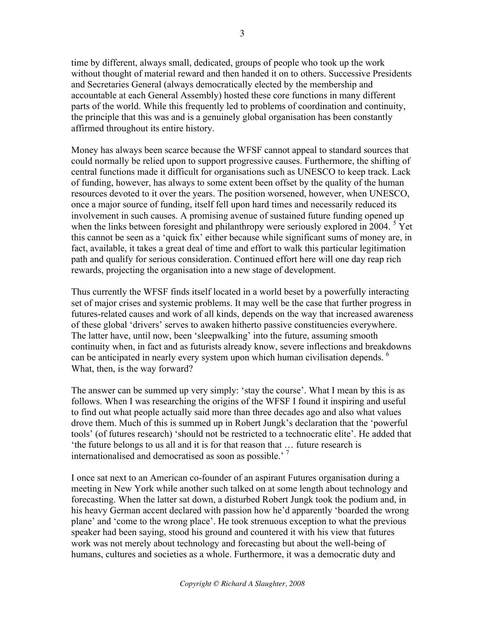time by different, always small, dedicated, groups of people who took up the work without thought of material reward and then handed it on to others. Successive Presidents and Secretaries General (always democratically elected by the membership and accountable at each General Assembly) hosted these core functions in many different parts of the world. While this frequently led to problems of coordination and continuity, the principle that this was and is a genuinely global organisation has been constantly affirmed throughout its entire history.

Money has always been scarce because the WFSF cannot appeal to standard sources that could normally be relied upon to support progressive causes. Furthermore, the shifting of central functions made it difficult for organisations such as UNESCO to keep track. Lack of funding, however, has always to some extent been offset by the quality of the human resources devoted to it over the years. The position worsened, however, when UNESCO, once a major source of funding, itself fell upon hard times and necessarily reduced its involvement in such causes. A promising avenue of sustained future funding opened up when the links between foresight and philanthropy were seriously explored in 2004.  $5$  Yet this cannot be seen as a 'quick fix' either because while significant sums of money are, in fact, available, it takes a great deal of time and effort to walk this particular legitimation path and qualify for serious consideration. Continued effort here will one day reap rich rewards, projecting the organisation into a new stage of development.

Thus currently the WFSF finds itself located in a world beset by a powerfully interacting set of major crises and systemic problems. It may well be the case that further progress in futures-related causes and work of all kinds, depends on the way that increased awareness of these global 'drivers' serves to awaken hitherto passive constituencies everywhere. The latter have, until now, been 'sleepwalking' into the future, assuming smooth continuity when, in fact and as futurists already know, severe inflections and breakdowns can be anticipated in nearly every system upon which human civilisation depends.  $6\overline{ }$ What, then, is the way forward?

The answer can be summed up very simply: 'stay the course'. What I mean by this is as follows. When I was researching the origins of the WFSF I found it inspiring and useful to find out what people actually said more than three decades ago and also what values drove them. Much of this is summed up in Robert Jungk's declaration that the 'powerful tools' (of futures research) 'should not be restricted to a technocratic elite'. He added that 'the future belongs to us all and it is for that reason that … future research is internationalised and democratised as soon as possible.<sup>7</sup>

I once sat next to an American co-founder of an aspirant Futures organisation during a meeting in New York while another such talked on at some length about technology and forecasting. When the latter sat down, a disturbed Robert Jungk took the podium and, in his heavy German accent declared with passion how he'd apparently 'boarded the wrong plane' and 'come to the wrong place'. He took strenuous exception to what the previous speaker had been saying, stood his ground and countered it with his view that futures work was not merely about technology and forecasting but about the well-being of humans, cultures and societies as a whole. Furthermore, it was a democratic duty and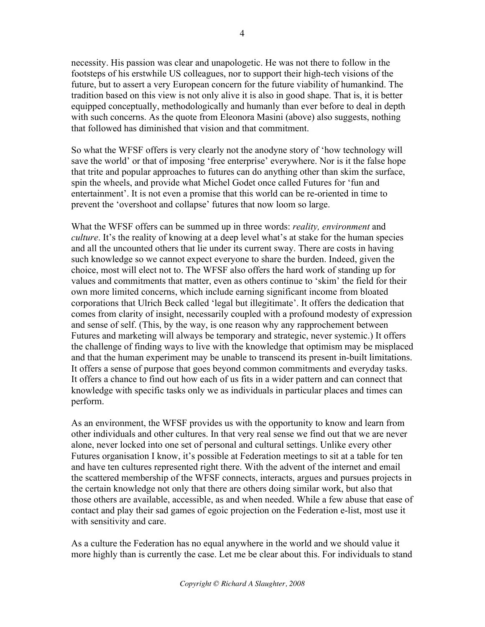necessity. His passion was clear and unapologetic. He was not there to follow in the footsteps of his erstwhile US colleagues, nor to support their high-tech visions of the future, but to assert a very European concern for the future viability of humankind. The tradition based on this view is not only alive it is also in good shape. That is, it is better equipped conceptually, methodologically and humanly than ever before to deal in depth with such concerns. As the quote from Eleonora Masini (above) also suggests, nothing that followed has diminished that vision and that commitment.

So what the WFSF offers is very clearly not the anodyne story of 'how technology will save the world' or that of imposing 'free enterprise' everywhere. Nor is it the false hope that trite and popular approaches to futures can do anything other than skim the surface, spin the wheels, and provide what Michel Godet once called Futures for 'fun and entertainment'. It is not even a promise that this world can be re-oriented in time to prevent the 'overshoot and collapse' futures that now loom so large.

What the WFSF offers can be summed up in three words: *reality, environment* and *culture*. It's the reality of knowing at a deep level what's at stake for the human species and all the uncounted others that lie under its current sway. There are costs in having such knowledge so we cannot expect everyone to share the burden. Indeed, given the choice, most will elect not to. The WFSF also offers the hard work of standing up for values and commitments that matter, even as others continue to 'skim' the field for their own more limited concerns, which include earning significant income from bloated corporations that Ulrich Beck called 'legal but illegitimate'. It offers the dedication that comes from clarity of insight, necessarily coupled with a profound modesty of expression and sense of self. (This, by the way, is one reason why any rapprochement between Futures and marketing will always be temporary and strategic, never systemic.) It offers the challenge of finding ways to live with the knowledge that optimism may be misplaced and that the human experiment may be unable to transcend its present in-built limitations. It offers a sense of purpose that goes beyond common commitments and everyday tasks. It offers a chance to find out how each of us fits in a wider pattern and can connect that knowledge with specific tasks only we as individuals in particular places and times can perform.

As an environment, the WFSF provides us with the opportunity to know and learn from other individuals and other cultures. In that very real sense we find out that we are never alone, never locked into one set of personal and cultural settings. Unlike every other Futures organisation I know, it's possible at Federation meetings to sit at a table for ten and have ten cultures represented right there. With the advent of the internet and email the scattered membership of the WFSF connects, interacts, argues and pursues projects in the certain knowledge not only that there are others doing similar work, but also that those others are available, accessible, as and when needed. While a few abuse that ease of contact and play their sad games of egoic projection on the Federation e-list, most use it with sensitivity and care.

As a culture the Federation has no equal anywhere in the world and we should value it more highly than is currently the case. Let me be clear about this. For individuals to stand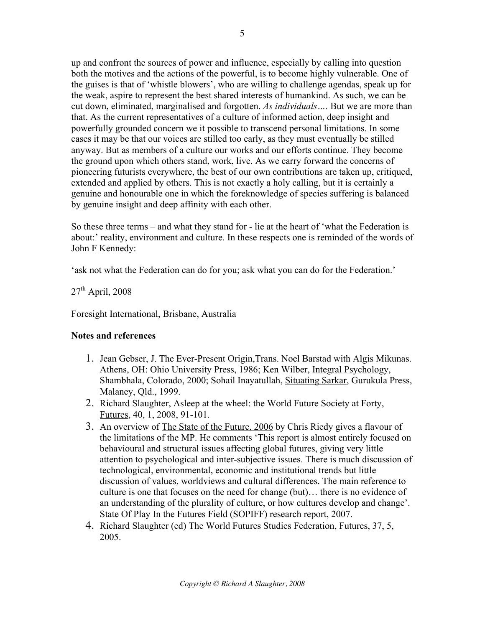up and confront the sources of power and influence, especially by calling into question both the motives and the actions of the powerful, is to become highly vulnerable. One of the guises is that of 'whistle blowers', who are willing to challenge agendas, speak up for the weak, aspire to represent the best shared interests of humankind. As such, we can be cut down, eliminated, marginalised and forgotten. *As individuals….* But we are more than that. As the current representatives of a culture of informed action, deep insight and powerfully grounded concern we it possible to transcend personal limitations. In some cases it may be that our voices are stilled too early, as they must eventually be stilled anyway. But as members of a culture our works and our efforts continue. They become the ground upon which others stand, work, live. As we carry forward the concerns of pioneering futurists everywhere, the best of our own contributions are taken up, critiqued, extended and applied by others. This is not exactly a holy calling, but it is certainly a genuine and honourable one in which the foreknowledge of species suffering is balanced by genuine insight and deep affinity with each other.

So these three terms – and what they stand for - lie at the heart of 'what the Federation is about:' reality, environment and culture. In these respects one is reminded of the words of John F Kennedy:

'ask not what the Federation can do for you; ask what you can do for the Federation.'

 $27<sup>th</sup>$  April, 2008

Foresight International, Brisbane, Australia

### **Notes and references**

- 1. Jean Gebser, J. The Ever-Present Origin,Trans. Noel Barstad with Algis Mikunas. Athens, OH: Ohio University Press, 1986; Ken Wilber, Integral Psychology, Shambhala, Colorado, 2000; Sohail Inayatullah, Situating Sarkar, Gurukula Press, Malaney, Qld., 1999.
- 2. Richard Slaughter, Asleep at the wheel: the World Future Society at Forty, Futures, 40, 1, 2008, 91-101.
- 3. An overview of The State of the Future, 2006 by Chris Riedy gives a flavour of the limitations of the MP. He comments 'This report is almost entirely focused on behavioural and structural issues affecting global futures, giving very little attention to psychological and inter-subjective issues. There is much discussion of technological, environmental, economic and institutional trends but little discussion of values, worldviews and cultural differences. The main reference to culture is one that focuses on the need for change (but)… there is no evidence of an understanding of the plurality of culture, or how cultures develop and change'. State Of Play In the Futures Field (SOPIFF) research report, 2007.
- 4. Richard Slaughter (ed) The World Futures Studies Federation, Futures, 37, 5, 2005.